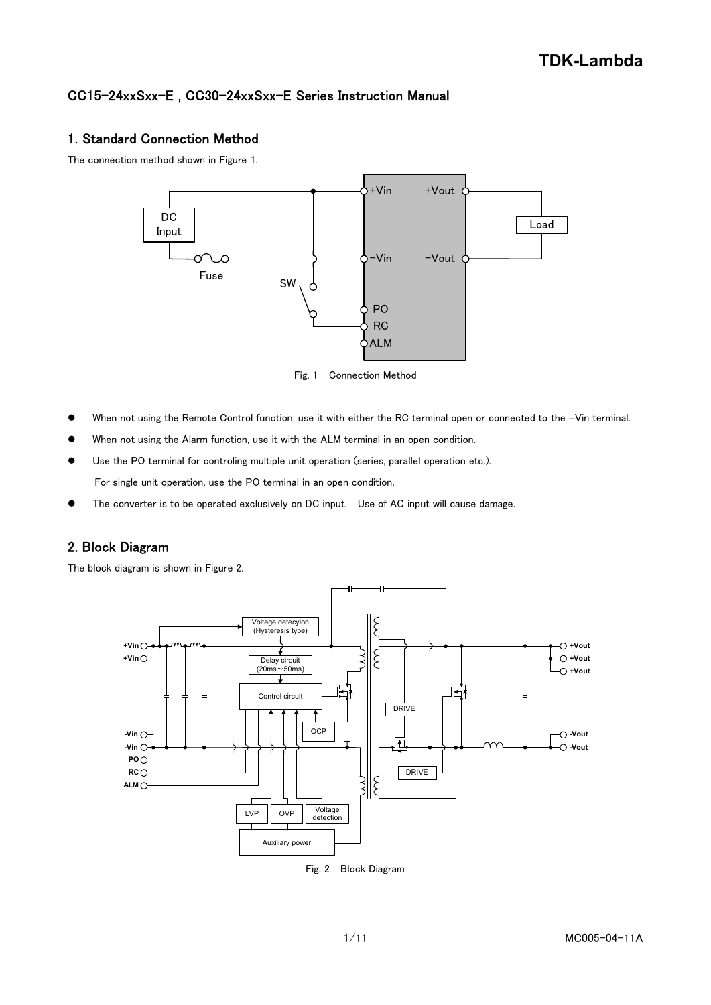# CC15-24xxSxx-E , CC30-24xxSxx-E Series Instruction Manual

# 1. Standard Connection Method

The connection method shown in Figure 1.



Fig. 1 Connection Method

- When not using the Remote Control function, use it with either the RC terminal open or connected to the –Vin terminal.
- When not using the Alarm function, use it with the ALM terminal in an open condition.
- Use the PO terminal for controling multiple unit operation (series, parallel operation etc.). For single unit operation, use the PO terminal in an open condition.
- The converter is to be operated exclusively on DC input. Use of AC input will cause damage.

# 2. Block Diagram

The block diagram is shown in Figure 2.



Fig. 2 Block Diagram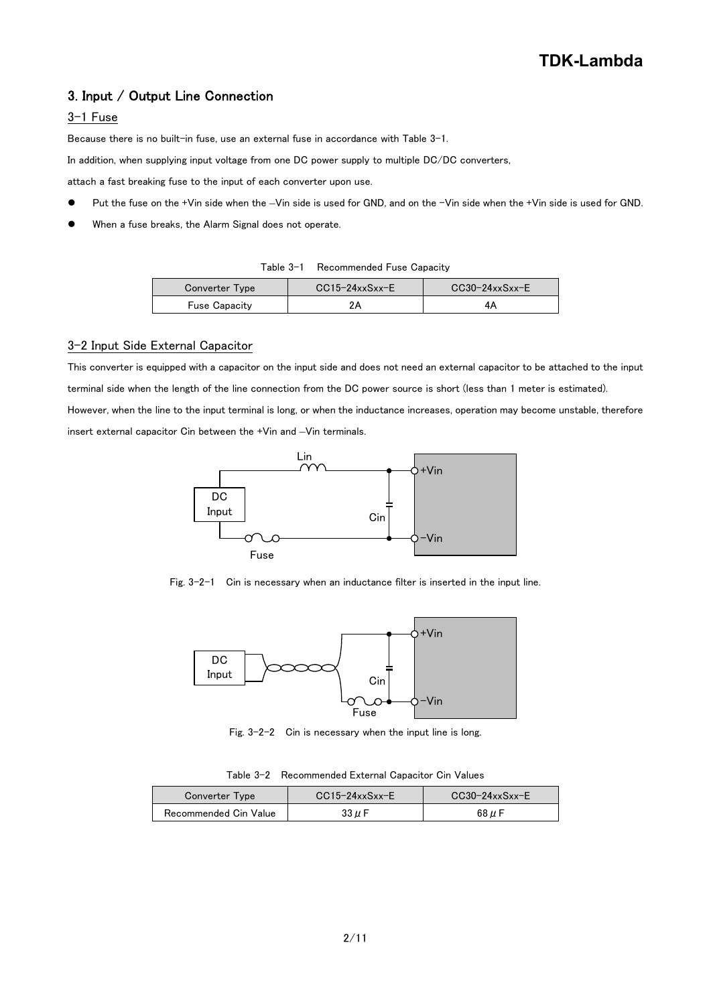# 3. Input / Output Line Connection

### 3-1 Fuse

Because there is no built-in fuse, use an external fuse in accordance with Table 3-1.

In addition, when supplying input voltage from one DC power supply to multiple DC/DC converters,

attach a fast breaking fuse to the input of each converter upon use.

- Put the fuse on the +Vin side when the –Vin side is used for GND, and on the -Vin side when the +Vin side is used for GND.
- When a fuse breaks, the Alarm Signal does not operate.

| Table 3-1 Recommended Fuse Capacity |
|-------------------------------------|
|-------------------------------------|

| Converter Type       | $CC15-24xxSxx-E$ | $CC30-24xxSxx-E$ |
|----------------------|------------------|------------------|
| <b>Fuse Capacity</b> |                  |                  |

#### 3-2 Input Side External Capacitor

This converter is equipped with a capacitor on the input side and does not need an external capacitor to be attached to the input terminal side when the length of the line connection from the DC power source is short (less than 1 meter is estimated). However, when the line to the input terminal is long, or when the inductance increases, operation may become unstable, therefore insert external capacitor Cin between the +Vin and –Vin terminals.



Fig. 3-2-1 Cin is necessary when an inductance filter is inserted in the input line.



Fig. 3-2-2 Cin is necessary when the input line is long.

|  | Table 3-2 Recommended External Capacitor Cin Values |  |  |
|--|-----------------------------------------------------|--|--|
|--|-----------------------------------------------------|--|--|

| Converter Type        | $CC15-24xxSxx-E$ | $CC30-24xxSxx-E$ |
|-----------------------|------------------|------------------|
| Recommended Cin Value | 33 µ F           | 68 $\mu$ F       |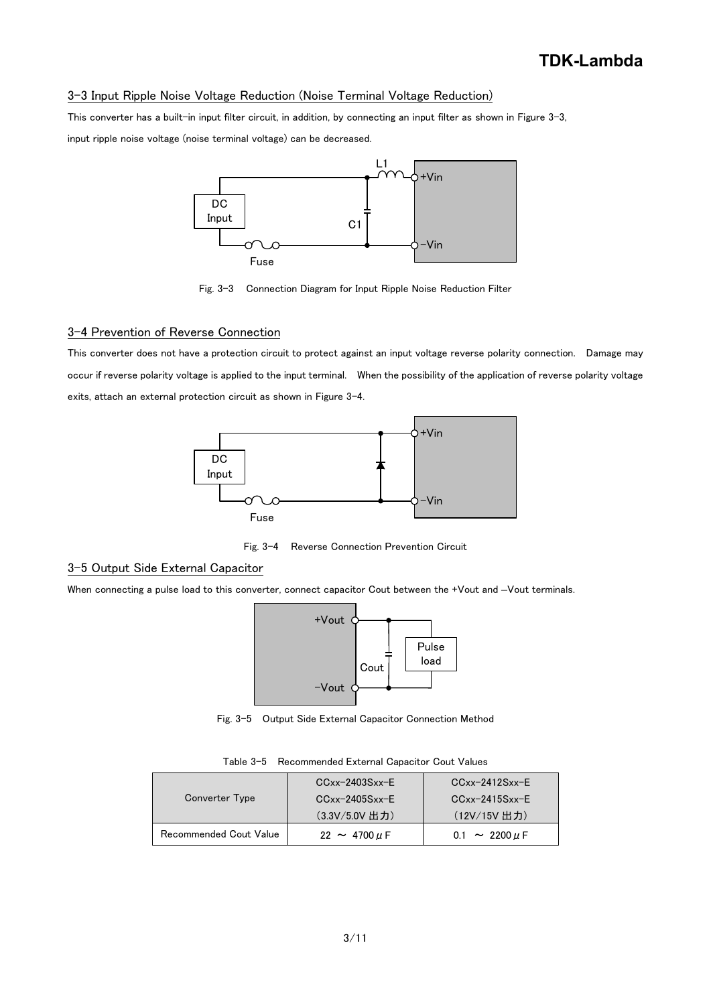#### 3-3 Input Ripple Noise Voltage Reduction (Noise Terminal Voltage Reduction)

This converter has a built-in input filter circuit, in addition, by connecting an input filter as shown in Figure 3-3, input ripple noise voltage (noise terminal voltage) can be decreased.



Fig. 3-3 Connection Diagram for Input Ripple Noise Reduction Filter

#### 3-4 Prevention of Reverse Connection

This converter does not have a protection circuit to protect against an input voltage reverse polarity connection. Damage may occur if reverse polarity voltage is applied to the input terminal. When the possibility of the application of reverse polarity voltage exits, attach an external protection circuit as shown in Figure 3-4.



Fig. 3-4 Reverse Connection Prevention Circuit

# 3-5 Output Side External Capacitor

When connecting a pulse load to this converter, connect capacitor Cout between the +Vout and –Vout terminals.



Fig. 3-5 Output Side External Capacitor Connection Method

|  | Table 3-5 Recommended External Capacitor Cout Values |  |  |
|--|------------------------------------------------------|--|--|
|--|------------------------------------------------------|--|--|

|                        | $CCxx-2403Sxx-E$       | $CCxx-2412Sxx-F$                 |
|------------------------|------------------------|----------------------------------|
| Converter Type         | $CCxx-2405Sxx-E$       | $CCxx-2415Sxx-F$                 |
|                        | (3.3V/5.0V 出力)         | (12V/15V 出力)                     |
| Recommended Cout Value | $22 \sim 4700 \,\mu F$ | $0.1 \sim 2200 \,\mu \,\text{F}$ |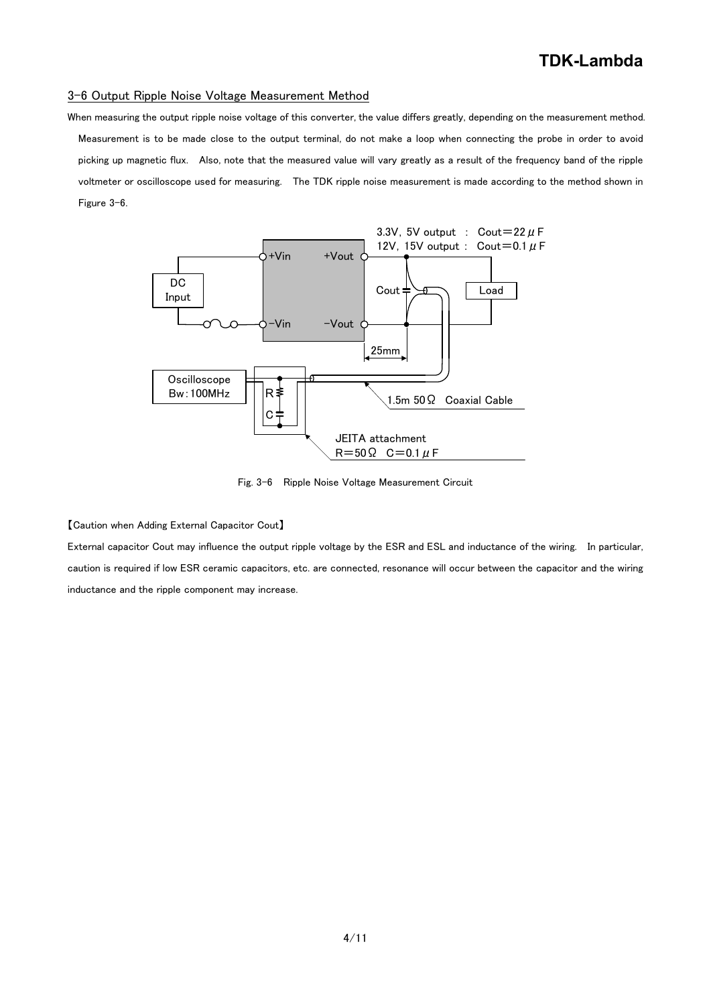# **TDK-Lambda**

#### 3-6 Output Ripple Noise Voltage Measurement Method

When measuring the output ripple noise voltage of this converter, the value differs greatly, depending on the measurement method. Measurement is to be made close to the output terminal, do not make a loop when connecting the probe in order to avoid picking up magnetic flux. Also, note that the measured value will vary greatly as a result of the frequency band of the ripple voltmeter or oscilloscope used for measuring. The TDK ripple noise measurement is made according to the method shown in Figure 3-6.



Fig. 3-6 Ripple Noise Voltage Measurement Circuit

【Caution when Adding External Capacitor Cout】

External capacitor Cout may influence the output ripple voltage by the ESR and ESL and inductance of the wiring. In particular, caution is required if low ESR ceramic capacitors, etc. are connected, resonance will occur between the capacitor and the wiring inductance and the ripple component may increase.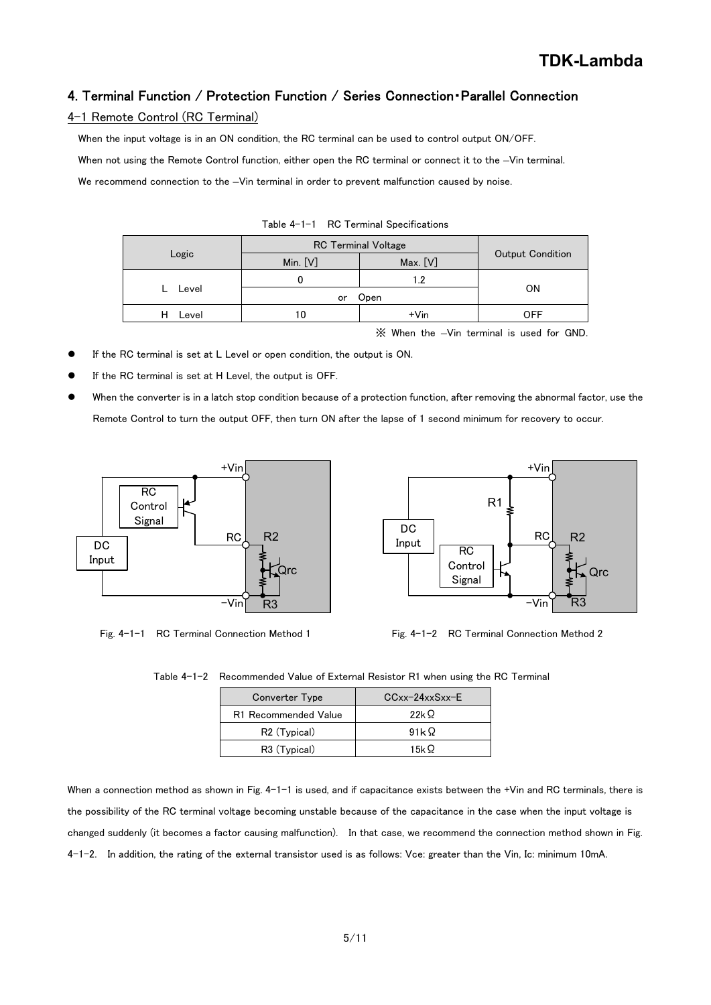# 4. Terminal Function / Protection Function / Series Connection・Parallel Connection

#### 4-1 Remote Control (RC Terminal)

When the input voltage is in an ON condition, the RC terminal can be used to control output ON/OFF.

When not using the Remote Control function, either open the RC terminal or connect it to the –Vin terminal.

We recommend connection to the -Vin terminal in order to prevent malfunction caused by noise.

|       | <b>RC Terminal Voltage</b> |          |                  |
|-------|----------------------------|----------|------------------|
| Logic | Min. $[V]$                 | Max. [V] | Output Condition |
|       | U                          | l.2      |                  |
| Level | Open<br>or                 |          | <b>ON</b>        |
| Level | 10                         | $+V$ in  | <b>OFF</b>       |
|       |                            |          |                  |

Table 4-1-1 RC Terminal Specifications

※ When the –Vin terminal is used for GND.

- If the RC terminal is set at L Level or open condition, the output is ON.
- If the RC terminal is set at H Level, the output is OFF.
- When the converter is in a latch stop condition because of a protection function, after removing the abnormal factor, use the Remote Control to turn the output OFF, then turn ON after the lapse of 1 second minimum for recovery to occur.



Fig. 4-1-1 RC Terminal Connection Method 1 Fig. 4-1-2 RC Terminal Connection Method 2



Table 4-1-2 Recommended Value of External Resistor R1 when using the RC Terminal

| Converter Type           | $CCxx-24xxSxx-E$ |
|--------------------------|------------------|
| R1 Recommended Value     | 22k $\Omega$     |
| R <sub>2</sub> (Typical) | 91k $\Omega$     |
| R3 (Typical)             | 15k Q            |

When a connection method as shown in Fig. 4-1-1 is used, and if capacitance exists between the +Vin and RC terminals, there is the possibility of the RC terminal voltage becoming unstable because of the capacitance in the case when the input voltage is changed suddenly (it becomes a factor causing malfunction). In that case, we recommend the connection method shown in Fig. 4-1-2. In addition, the rating of the external transistor used is as follows: Vce: greater than the Vin, Ic: minimum 10mA.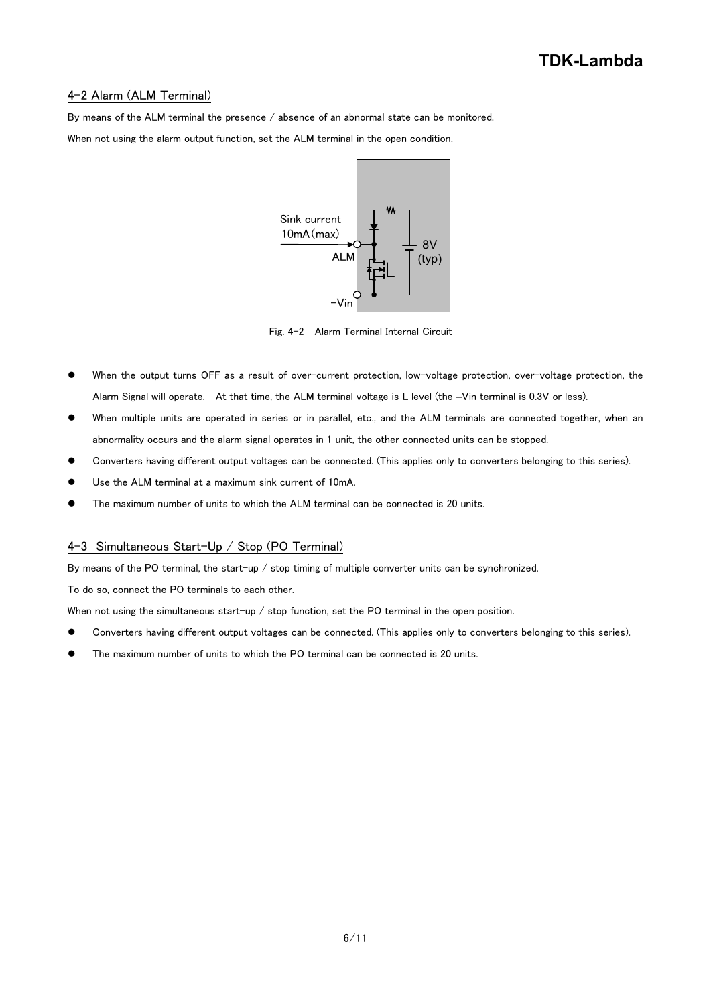#### 4-2 Alarm (ALM Terminal)

By means of the ALM terminal the presence / absence of an abnormal state can be monitored.

When not using the alarm output function, set the ALM terminal in the open condition.



Fig. 4-2 Alarm Terminal Internal Circuit

- When the output turns OFF as a result of over-current protection, low-voltage protection, over-voltage protection, the Alarm Signal will operate. At that time, the ALM terminal voltage is L level (the –Vin terminal is 0.3V or less).
- When multiple units are operated in series or in parallel, etc., and the ALM terminals are connected together, when an abnormality occurs and the alarm signal operates in 1 unit, the other connected units can be stopped.
- Converters having different output voltages can be connected. (This applies only to converters belonging to this series).
- Use the ALM terminal at a maximum sink current of 10mA.
- The maximum number of units to which the ALM terminal can be connected is 20 units.

#### 4-3 Simultaneous Start-Up / Stop (PO Terminal)

By means of the PO terminal, the start-up / stop timing of multiple converter units can be synchronized.

To do so, connect the PO terminals to each other.

When not using the simultaneous start-up / stop function, set the PO terminal in the open position.

- Converters having different output voltages can be connected. (This applies only to converters belonging to this series).
- The maximum number of units to which the PO terminal can be connected is 20 units.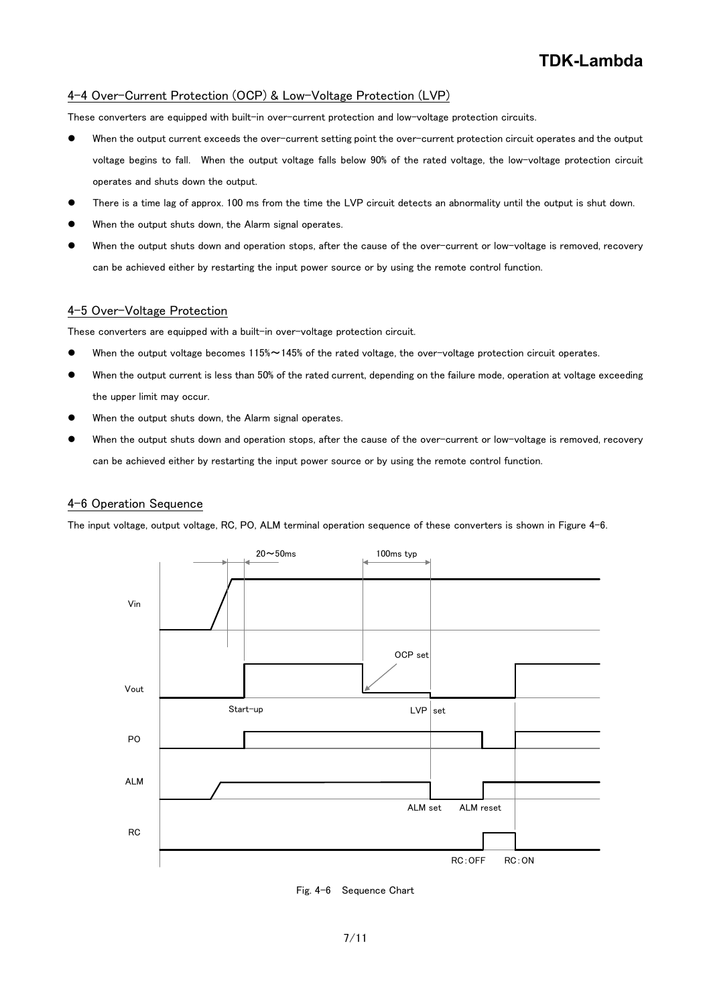#### 4-4 Over-Current Protection (OCP) & Low-Voltage Protection (LVP)

These converters are equipped with built-in over-current protection and low-voltage protection circuits.

- When the output current exceeds the over-current setting point the over-current protection circuit operates and the output voltage begins to fall. When the output voltage falls below 90% of the rated voltage, the low-voltage protection circuit operates and shuts down the output.
- There is a time lag of approx. 100 ms from the time the LVP circuit detects an abnormality until the output is shut down.
- When the output shuts down, the Alarm signal operates.
- When the output shuts down and operation stops, after the cause of the over-current or low-voltage is removed, recovery can be achieved either by restarting the input power source or by using the remote control function.

### 4-5 Over-Voltage Protection

These converters are equipped with a built-in over-voltage protection circuit.

- When the output voltage becomes 115%~145% of the rated voltage, the over-voltage protection circuit operates.
- When the output current is less than 50% of the rated current, depending on the failure mode, operation at voltage exceeding the upper limit may occur.
- When the output shuts down, the Alarm signal operates.
- When the output shuts down and operation stops, after the cause of the over-current or low-voltage is removed, recovery can be achieved either by restarting the input power source or by using the remote control function.

#### 4-6 Operation Sequence

The input voltage, output voltage, RC, PO, ALM terminal operation sequence of these converters is shown in Figure 4-6.



Fig. 4-6 Sequence Chart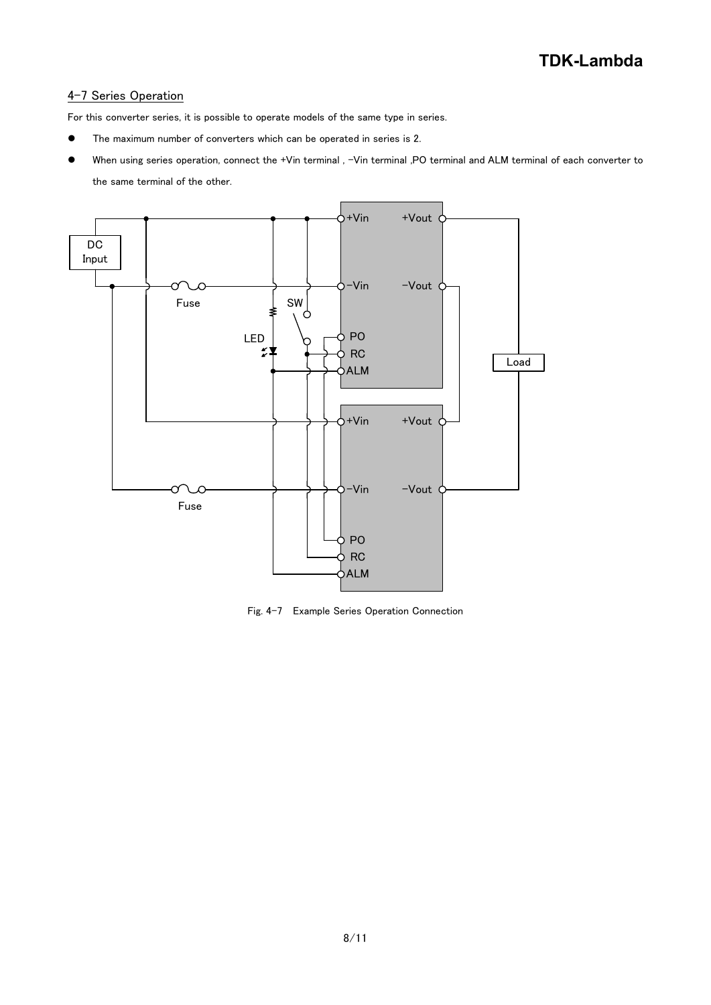# 4-7 Series Operation

For this converter series, it is possible to operate models of the same type in series.

- The maximum number of converters which can be operated in series is 2.
- When using series operation, connect the +Vin terminal , -Vin terminal ,PO terminal and ALM terminal of each converter to the same terminal of the other.



Fig. 4-7 Example Series Operation Connection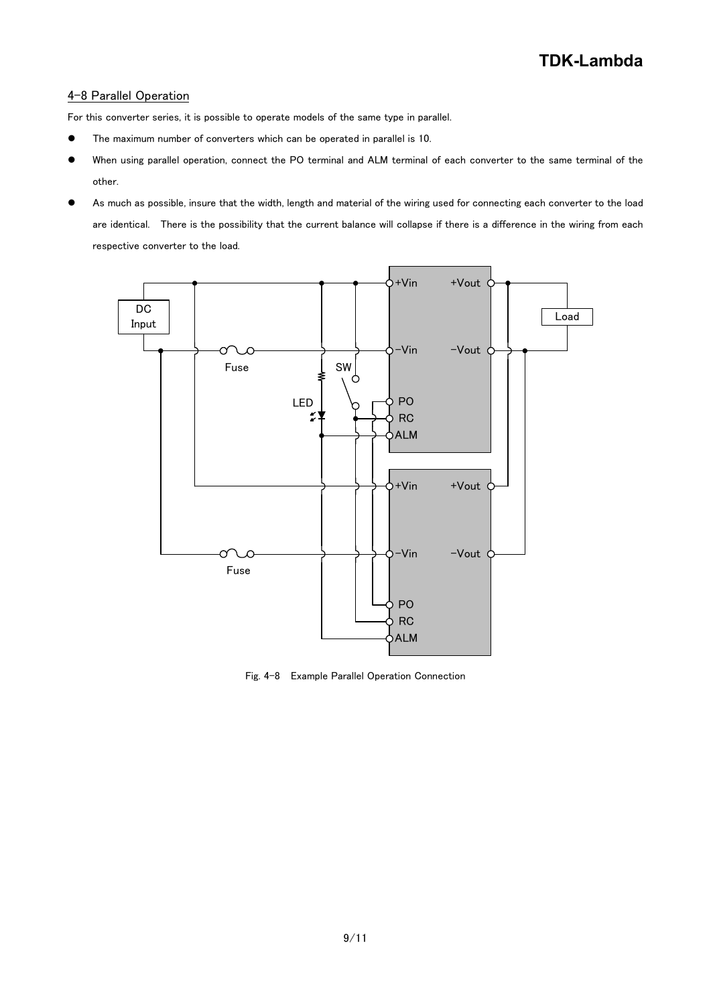### 4-8 Parallel Operation

For this converter series, it is possible to operate models of the same type in parallel.

- The maximum number of converters which can be operated in parallel is 10.
- When using parallel operation, connect the PO terminal and ALM terminal of each converter to the same terminal of the other.
- As much as possible, insure that the width, length and material of the wiring used for connecting each converter to the load are identical. There is the possibility that the current balance will collapse if there is a difference in the wiring from each respective converter to the load.



Fig. 4-8 Example Parallel Operation Connection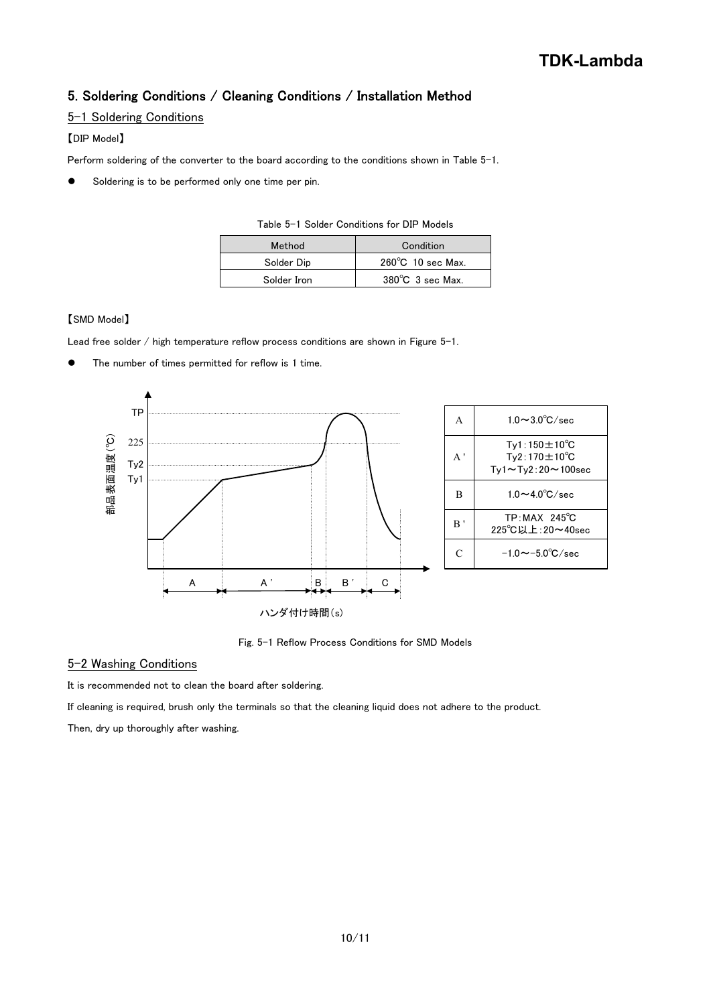# 5. Soldering Conditions / Cleaning Conditions / Installation Method

## 5-1 Soldering Conditions

# 【DIP Model】

Perform soldering of the converter to the board according to the conditions shown in Table 5-1.

Soldering is to be performed only one time per pin.

| LAUG V I QUIUGE QUIRIRUM S RIE DIE MOUGIS |                              |  |
|-------------------------------------------|------------------------------|--|
| Method                                    | Condition                    |  |
| Solder Dip                                | $260^{\circ}$ C 10 sec Max.  |  |
| Solder Iron                               | $380^{\circ}$ C $3$ sec Max. |  |

Table 5-1 Solder Conditions for DIP Models

#### 【SMD Model】

Lead free solder / high temperature reflow process conditions are shown in Figure 5-1.

The number of times permitted for reflow is 1 time.



Fig. 5-1 Reflow Process Conditions for SMD Models

## 5-2 Washing Conditions

It is recommended not to clean the board after soldering.

If cleaning is required, brush only the terminals so that the cleaning liquid does not adhere to the product.

Then, dry up thoroughly after washing.